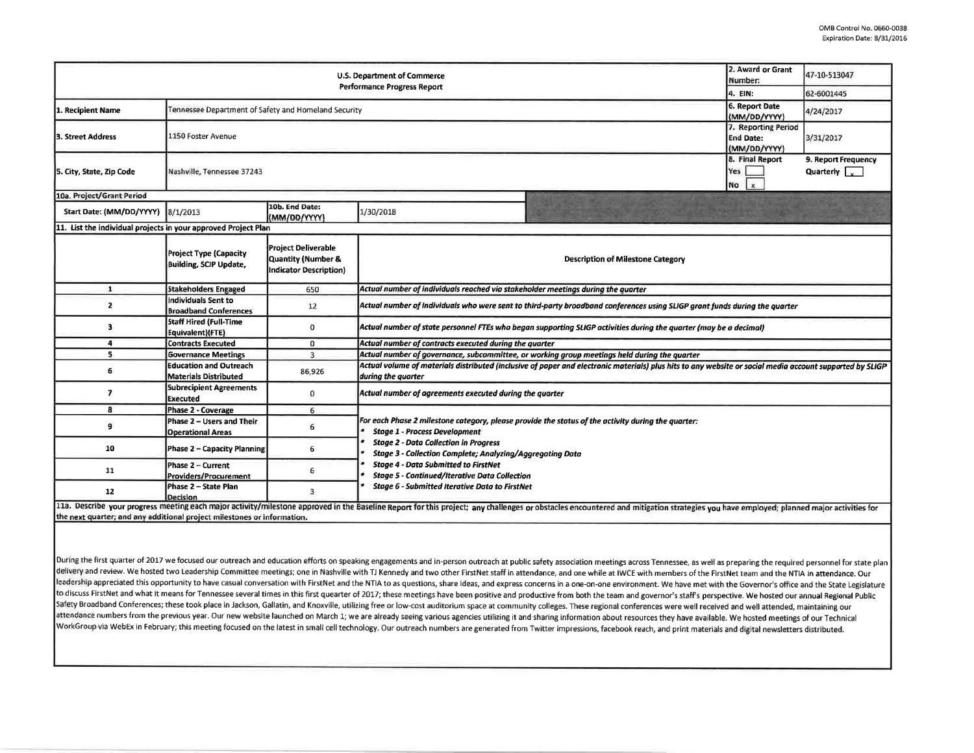|                                                                | 2. Award or Grant<br>Number:                                                            | 47-10-513047                                                               |                                                                                                                                                                                |           |  |  |  |  |  |
|----------------------------------------------------------------|-----------------------------------------------------------------------------------------|----------------------------------------------------------------------------|--------------------------------------------------------------------------------------------------------------------------------------------------------------------------------|-----------|--|--|--|--|--|
|                                                                | 4. EIN:                                                                                 | 62-6001445                                                                 |                                                                                                                                                                                |           |  |  |  |  |  |
| 1. Recipient Name                                              | Tennessee Department of Safety and Homeland Security                                    |                                                                            | 6. Report Date<br>(MM/DD/YYYY)                                                                                                                                                 | 4/24/2017 |  |  |  |  |  |
| l3. Street Address                                             | 1150 Foster Avenue                                                                      | 7. Reporting Period<br><b>End Date:</b><br>(MM/DD/YYYY)                    | 3/31/2017                                                                                                                                                                      |           |  |  |  |  |  |
| 5. City, State, Zip Code                                       | Nashville, Tennessee 37243                                                              | 8. Final Report<br>Yes  <br>No<br>$\times$                                 | 9. Report Frequency<br>Quarterly $\sqrt{v}$                                                                                                                                    |           |  |  |  |  |  |
| 10a. Project/Grant Period                                      |                                                                                         |                                                                            |                                                                                                                                                                                |           |  |  |  |  |  |
| Start Date: (MM/DD/YYYY) 8/1/2013                              |                                                                                         | 10b. End Date:<br>(MM/DD/YYYY)                                             | 1/30/2018                                                                                                                                                                      |           |  |  |  |  |  |
| 11. List the individual projects in your approved Project Plan |                                                                                         |                                                                            |                                                                                                                                                                                |           |  |  |  |  |  |
|                                                                | Project Type (Capacity<br><b>Building, SCIP Update,</b>                                 | <b>Project Deliverable</b><br>Quantity (Number &<br>Indicator Description) | <b>Description of Milestone Category</b>                                                                                                                                       |           |  |  |  |  |  |
| $\mathbf{1}$                                                   | <b>Stakeholders Engaged</b>                                                             | 650                                                                        | Actual number of individuals reached via stakeholder meetings during the quarter                                                                                               |           |  |  |  |  |  |
| $\mathbf{z}$                                                   | Individuals Sent to<br><b>Broadband Conferences</b>                                     | 12                                                                         | Actual number of individuals who were sent to third-party broadband conferences using SLIGP grant funds during the quarter                                                     |           |  |  |  |  |  |
| з                                                              | Staff Hired (Full-Time<br>Equivalent)(FTE)                                              | 0                                                                          | Actual number of state personnel FTEs who began supporting SLIGP activities during the quarter (may be a decimal)                                                              |           |  |  |  |  |  |
| 4                                                              | <b>Contracts Executed</b>                                                               | 0                                                                          | Actual number of contracts executed during the quarter                                                                                                                         |           |  |  |  |  |  |
| s.                                                             | <b>Governance Meetings</b>                                                              | $\overline{\mathbf{3}}$                                                    | Actual number of governance, subcommittee, or working group meetings held during the quarter                                                                                   |           |  |  |  |  |  |
| 6                                                              | <b>Education and Outreach</b><br><b>Materials Distributed</b>                           | 86,926                                                                     | Actual volume of materials distributed (inclusive of paper and electronic materials) plus hits to any website or social media account supported by SLIGP<br>during the quarter |           |  |  |  |  |  |
| $\overline{ }$                                                 | <b>Subrecipient Agreements</b><br>Executed                                              | 0                                                                          | Actual number of agreements executed during the quarter                                                                                                                        |           |  |  |  |  |  |
| R                                                              | Phase 2 - Coverage                                                                      | 6                                                                          |                                                                                                                                                                                |           |  |  |  |  |  |
| 9                                                              | Phase 2 - Users and Their<br><b>Operational Areas</b>                                   | 6                                                                          | For each Phase 2 milestone category, please provide the status of the activity during the quarter:<br><b>Stage 1 - Process Development</b>                                     |           |  |  |  |  |  |
| 10                                                             | Phase 2 - Capacity Planning                                                             | 6                                                                          | <b>Stage 2 - Data Collection in Progress</b><br>Stage 3 - Collection Complete; Analyzing/Aggregating Data                                                                      |           |  |  |  |  |  |
| 11                                                             | Phase 2 - Current<br><b>Providers/Procurement</b>                                       | 6                                                                          | <b>Stage 4 - Data Submitted to FirstNet</b><br><b>Stage 5 - Continued/Iterative Data Collection</b>                                                                            |           |  |  |  |  |  |
| 12                                                             | Phase 2 - State Plan<br>Stage 6 - Submitted Iterative Data to FirstNet<br>3<br>Decision |                                                                            |                                                                                                                                                                                |           |  |  |  |  |  |

the next quarter; and any additional project milestones or information.

During the first quarter of 2017 we focused our outreach and education efforts on speaking engagements and in-person outreach at public safety association meetings across Tennessee, as well as preparing the required person delivery and review. We hosted two Leadership Committee meetings; one in Nashville with TJ Kennedy and two other FirstNet staff in attendance, and one while at IWCE with members of the FirstNet team and the NTIA in attenda leadership appreciated this opportunity to have casual conversation with FirstNet and the NTIA to as questions, share ideas, and express concerns in a one-on-one environment. We have met with the Governor's office and the to discuss FirstNet and what it means for Tennessee several times in this first quearter of 2017; these meetings have been positive and productive from both the team and governor's staff's perspective. We hosted our annual Safety Broadband Conferences; these took place in Jackson, Gallatin, and Knoxville, utilizing free or low-cost auditorium space at community colleges. These regional conferences were well received and well attended, mainta attendance numbers from the previous year. Our new website launched on March 1; we are already seeing various agencies utilizing it and sharing information about resources they have available. We hosted meetings of our Tec WorkGroup via WebEx in February; this meeting focused on the latest in small cell technology. Our outreach numbers are generated from Twitter impressions, facebook reach, and print materials and digital newsletters distrib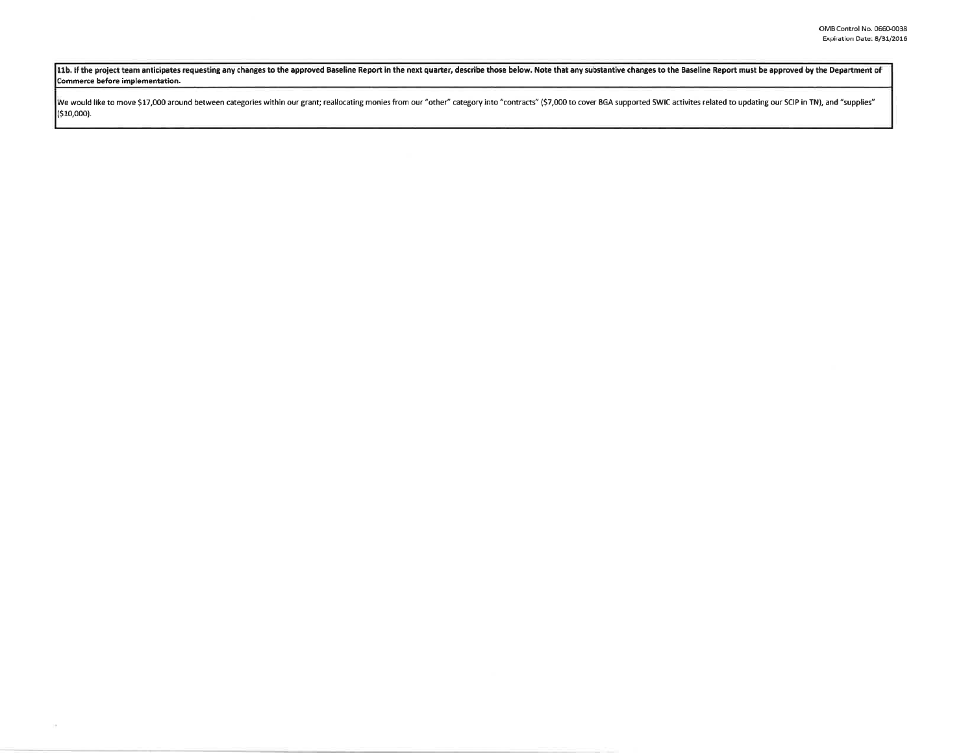11b. If the project team anticipates requesting any changes to the approved Baseline Report in the next quarter, describe those below. Note that any substantive changes to the Baseline Report must be approved by the Depart **Commerce before implementation.** 

We would like to move \$17,000 around between categories within our grant; reallocating monies from our "other" category into "contracts" (\$7,000 to cover BGA supported SWIC activites related to updating our SCIP in TN), an (\$10,000).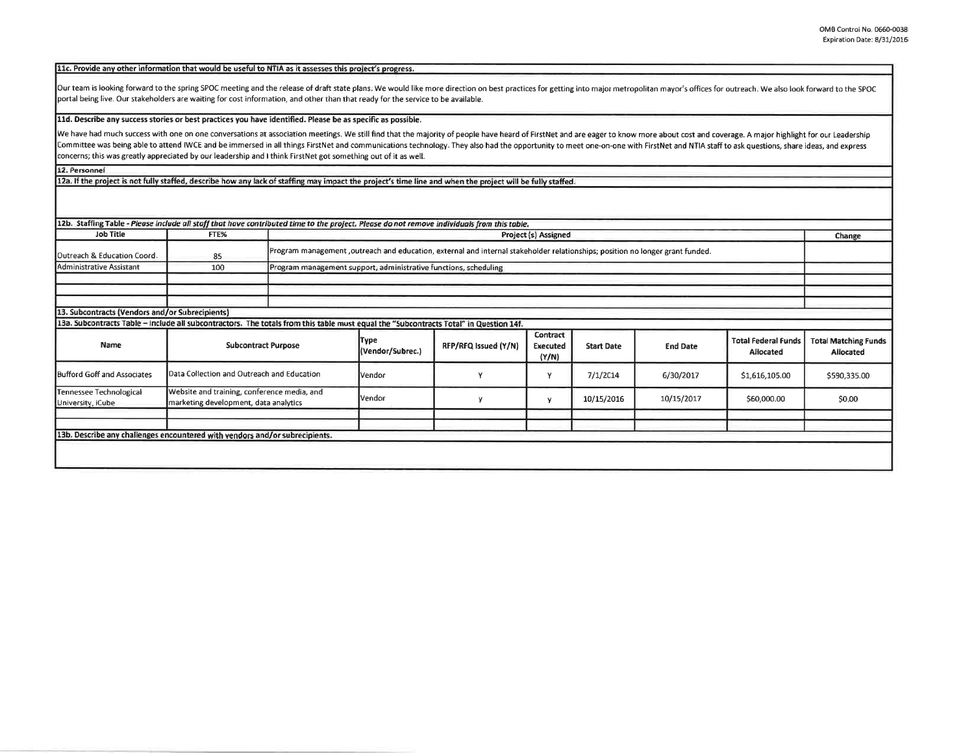| 11c. Provide any other information that would be useful to NTIA as it assesses this project's progress. |  |
|---------------------------------------------------------------------------------------------------------|--|
|---------------------------------------------------------------------------------------------------------|--|

Our team is looking forward to the spring SPOC meeting and the release of draft state plans. We would like more direction on best practices for getting into major metropolitan mayor's offices for outreach. We also look for portal being live. Our stakeholders are waiting for cost information, and other than that ready for the service to be available.

## **lld. Describe any success stories or best practices you have identified. Please be as specific as possible.**

We have had much success with one on one conversations at association meetings. We still find that the majority of people have heard of FirstNet and are eager to know more about cost and coverage. A major highlight for our Committee was being able to attend IWCE and be immersed in all things FirstNet and communications technology. They also had the opportunity to meet one-on-one with FirstNet and NTIA staff to ask questions, share ideas, and concerns; this was greatly appreciated by our leadership and I think FirstNet got something out of it as well.

**12. Personnel** 

12a. If the project is not fully staffed, describe how any lack of staffing may impact the project's time line and when the project will be fully staffed.

| 12b. Staffing Table - Please include all staff that have contributed time to the project. Please do not remove individuals from this table. |                                                                                      |                                                                                                                                |                                                                  |                      |                               |                   |                 |                                         |                                          |
|---------------------------------------------------------------------------------------------------------------------------------------------|--------------------------------------------------------------------------------------|--------------------------------------------------------------------------------------------------------------------------------|------------------------------------------------------------------|----------------------|-------------------------------|-------------------|-----------------|-----------------------------------------|------------------------------------------|
| <b>Job Title</b>                                                                                                                            | FTE%                                                                                 |                                                                                                                                | <b>Project (s) Assigned</b>                                      |                      |                               |                   |                 |                                         | Change                                   |
| Outreach & Education Coord.                                                                                                                 | 85                                                                                   | Program management , outreach and education, external and internal stakeholder relationships; position no longer grant funded. |                                                                  |                      |                               |                   |                 |                                         |                                          |
| Administrative Assistant                                                                                                                    | 100                                                                                  |                                                                                                                                | Program management support, administrative functions, scheduling |                      |                               |                   |                 |                                         |                                          |
|                                                                                                                                             |                                                                                      |                                                                                                                                |                                                                  |                      |                               |                   |                 |                                         |                                          |
|                                                                                                                                             |                                                                                      |                                                                                                                                |                                                                  |                      |                               |                   |                 |                                         |                                          |
|                                                                                                                                             |                                                                                      |                                                                                                                                |                                                                  |                      |                               |                   |                 |                                         |                                          |
| 13. Subcontracts (Vendors and/or Subrecipients)                                                                                             |                                                                                      |                                                                                                                                |                                                                  |                      |                               |                   |                 |                                         |                                          |
| 13a. Subcontracts Table - Include all subcontractors. The totals from this table must equal the "Subcontracts Total" in Question 14f.       |                                                                                      |                                                                                                                                |                                                                  |                      |                               |                   |                 |                                         |                                          |
| Name                                                                                                                                        | <b>Subcontract Purpose</b>                                                           |                                                                                                                                | Түре<br>(Vendor/Subrec.)                                         | RFP/RFQ Issued (Y/N) | Contract<br>Executed<br>(Y/N) | <b>Start Date</b> | <b>End Date</b> | <b>Total Federal Funds</b><br>Allocated | <b>Total Matching Funds</b><br>Allocated |
| <b>Bufford Goff and Associates</b>                                                                                                          | Data Collection and Outreach and Education                                           |                                                                                                                                | Vendor                                                           |                      | ٧                             | 7/1/2014          | 6/30/2017       | \$1,616,105.00                          | \$590,335.00                             |
| Tennessee Technological<br>University, iCube                                                                                                | Website and training, conference media, and<br>marketing development, data analytics |                                                                                                                                | Vendor                                                           |                      | у                             | 10/15/2016        | 10/15/2017      | \$60,000.00                             | \$0.00                                   |
|                                                                                                                                             |                                                                                      |                                                                                                                                |                                                                  |                      |                               |                   |                 |                                         |                                          |
|                                                                                                                                             |                                                                                      |                                                                                                                                |                                                                  |                      |                               |                   |                 |                                         |                                          |
| 13b. Describe any challenges encountered with vendors and/or subrecipients.                                                                 |                                                                                      |                                                                                                                                |                                                                  |                      |                               |                   |                 |                                         |                                          |
|                                                                                                                                             |                                                                                      |                                                                                                                                |                                                                  |                      |                               |                   |                 |                                         |                                          |